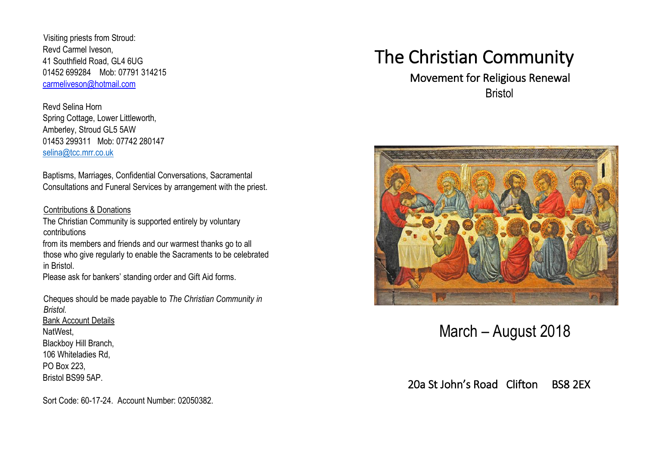Visiting priests from Stroud: Revd Carmel Iveson, 41 Southfield Road, GL4 6UG 01452 699284 Mob: 07791 314215 carmeliveson@hotmail.com

Revd Selina Horn Spring Cottage, Lower Littleworth, Amberley, Stroud GL5 5AW 01453 299311 Mob: 07742 280147 [selina@tcc.mrr.co.uk](mailto:selina@tcc.mrr.co.uk)

Baptisms, Marriages, Confidential Conversations, Sacramental Consultations and Funeral Services by arrangement with the priest.

#### Contributions & Donations

The Christian Community is supported entirely by voluntary contributions

from its members and friends and our warmest thanks go to all those who give regularly to enable the Sacraments to be celebrated in Bristol.

Please ask for bankers' standing order and Gift Aid forms.

Cheques should be made payable to *The Christian Community in Bristol.* Bank Account Details NatWest, Blackboy Hill Branch, 106 Whiteladies Rd, PO Box 223, Bristol BS99 5AP.

# The Christian Community

# Movement for Religious Renewal **Bristol**



March – August 2018

20a St John's Road Clifton BS8 2EX

Sort Code: 60-17-24. Account Number: 02050382.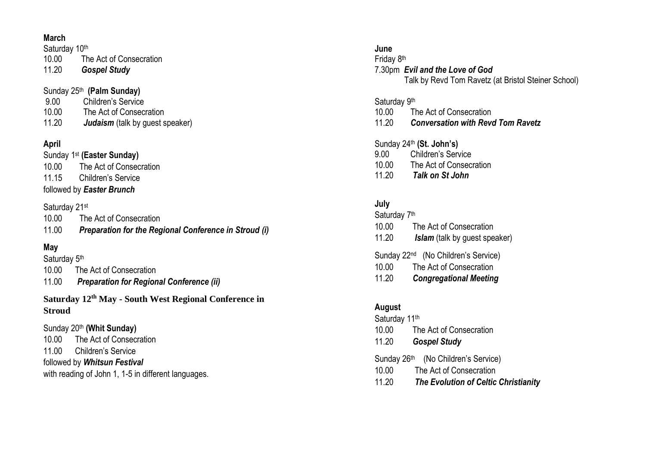#### **March**

Saturday 10th 10.00 The Act of Consecration 11.20 *Gospel Study*

#### Sunday 25th **(Palm Sunday)** 9.00 Children's Service 10.00 The Act of Consecration

11.20 *Judaism* (talk by guest speaker)

## **April**

Sunday 1<sup>st</sup> (Easter Sunday) 10.00 The Act of Consecration 11.15 Children's Service followed by *Easter Brunch*

#### Saturday 21<sup>st</sup>

10.00 The Act of Consecration 11.00 *Preparation for the Regional Conference in Stroud (i)*

### **May**

Saturday 5<sup>th</sup> 10.00 The Act of Consecration 11.00 *Preparation for Regional Conference (ii)*

**Saturday 12th May - South West Regional Conference in Stroud**

Sunday 20th **(Whit Sunday)**  10.00 The Act of Consecration 11.00 Children's Service followed by *Whitsun Festival*  with reading of John 1, 1-5 in different languages.

#### **June**

Friday 8<sup>th</sup> 7.30pm *Evil and the Love of God* Talk by Revd Tom Ravetz (at Bristol Steiner School)

#### Saturday 9th

- 10.00 The Act of Consecration
- 11.20 *Conversation with Revd Tom Ravetz*

#### Sunday 24th **(St. John's)**

9.00 Children's Service 10.00 The Act of Consecration 11.20 *Talk on St John*

#### **July**

Saturday 7<sup>th</sup> 10.00 The Act of Consecration 11.20 *Islam* (talk by guest speaker)

#### Sunday 22<sup>nd</sup> (No Children's Service)

- 10.00 The Act of Consecration
- 11.20 *Congregational Meeting*

#### **August**

Saturday 11th

- 10.00 The Act of Consecration
- 11.20 *Gospel Study*
- Sunday 26<sup>th</sup> (No Children's Service)
- 10.00 The Act of Consecration
- 11.20 *The Evolution of Celtic Christianity*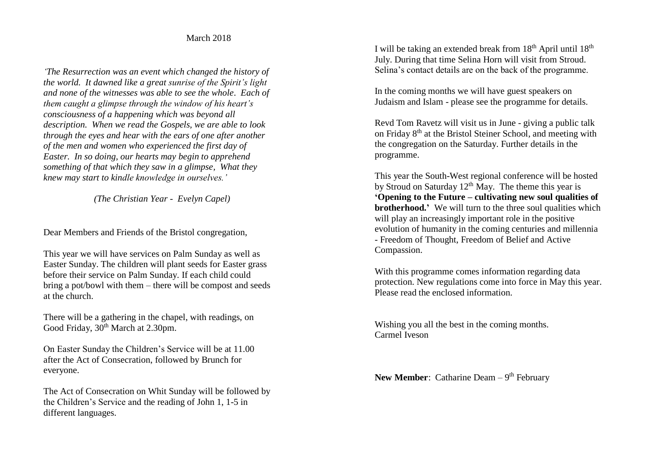#### March 2018

*'The Resurrection was an event which changed the history of the world. It dawned like a great sunrise of the Spirit's light and none of the witnesses was able to see the whole. Each of them caught a glimpse through the window of his heart's consciousness of a happening which was beyond all description. When we read the Gospels, we are able to look through the eyes and hear with the ears of one after another of the men and women who experienced the first day of Easter. In so doing, our hearts may begin to apprehend something of that which they saw in a glimpse, What they knew may start to kindle knowledge in ourselves.'*

 *(The Christian Year - Evelyn Capel)*

Dear Members and Friends of the Bristol congregation,

This year we will have services on Palm Sunday as well as Easter Sunday. The children will plant seeds for Easter grass before their service on Palm Sunday. If each child could bring a pot/bowl with them – there will be compost and seeds at the church.

There will be a gathering in the chapel, with readings, on Good Friday,  $30<sup>th</sup>$  March at 2.30pm.

On Easter Sunday the Children's Service will be at 11.00 after the Act of Consecration, followed by Brunch for everyone.

The Act of Consecration on Whit Sunday will be followed by the Children's Service and the reading of John 1, 1-5 in different languages.

I will be taking an extended break from  $18<sup>th</sup>$  April until  $18<sup>th</sup>$ July. During that time Selina Horn will visit from Stroud. Selina's contact details are on the back of the programme.

In the coming months we will have guest speakers on Judaism and Islam - please see the programme for details.

Revd Tom Ravetz will visit us in June - giving a public talk on Friday 8<sup>th</sup> at the Bristol Steiner School, and meeting with the congregation on the Saturday. Further details in the programme.

This year the South-West regional conference will be hosted by Stroud on Saturday  $12<sup>th</sup>$  May. The theme this year is **'Opening to the Future – cultivating new soul qualities of brotherhood.'** We will turn to the three soul qualities which will play an increasingly important role in the positive evolution of humanity in the coming centuries and millennia - Freedom of Thought, Freedom of Belief and Active Compassion.

With this programme comes information regarding data protection. New regulations come into force in May this year. Please read the enclosed information.

Wishing you all the best in the coming months. Carmel Iveson

**New Member:** Catharine Deam – 9<sup>th</sup> February